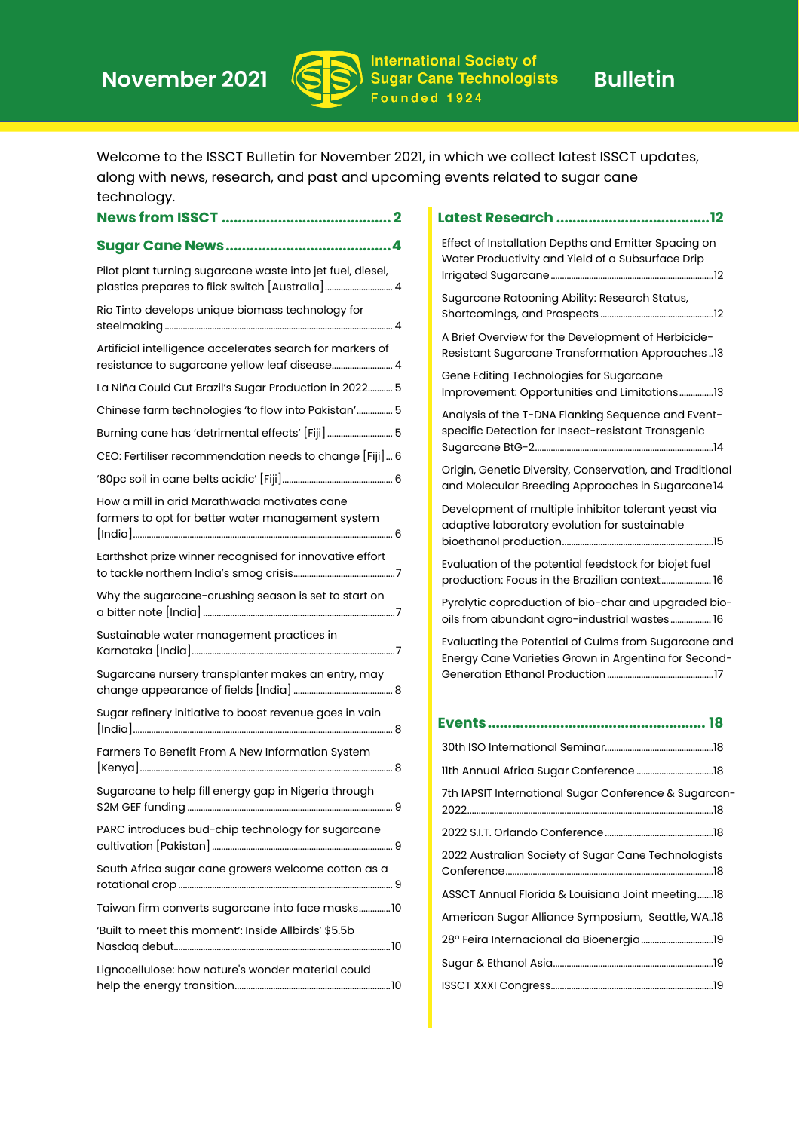

Welcome to the ISSCT Bulletin for November 2021, in which we collect latest ISSCT updates, along with news, research, and past and upcoming events related to sugar cane technology.

|                                                                                                               | Effect of Installation Depths and Emitter Spacing on                                                                                                     |
|---------------------------------------------------------------------------------------------------------------|----------------------------------------------------------------------------------------------------------------------------------------------------------|
| Pilot plant turning sugarcane waste into jet fuel, diesel,<br>plastics prepares to flick switch [Australia] 4 | Water Productivity and Yield of a Subsurface Drip                                                                                                        |
| Rio Tinto develops unique biomass technology for                                                              | Sugarcane Ratooning Ability: Research Status,                                                                                                            |
| Artificial intelligence accelerates search for markers of<br>resistance to sugarcane yellow leaf disease 4    | A Brief Overview for the Development of Herbicide-<br><b>Resistant Sugarcane Transformation Approaches 13</b><br>Gene Editing Technologies for Sugarcane |
| La Niña Could Cut Brazil's Sugar Production in 2022 5                                                         | Improvement: Opportunities and Limitations13                                                                                                             |
| Chinese farm technologies 'to flow into Pakistan' 5                                                           | Analysis of the T-DNA Flanking Sequence and Event-                                                                                                       |
| Burning cane has 'detrimental effects' [Fiji]  5                                                              | specific Detection for Insect-resistant Transgenic                                                                                                       |
| CEO: Fertiliser recommendation needs to change [Fiji] 6                                                       |                                                                                                                                                          |
|                                                                                                               | Origin, Genetic Diversity, Conservation, and Traditional<br>and Molecular Breeding Approaches in Sugarcane14                                             |
| How a mill in arid Marathwada motivates cane<br>farmers to opt for better water management system             | Development of multiple inhibitor tolerant yeast via<br>adaptive laboratory evolution for sustainable                                                    |
| Earthshot prize winner recognised for innovative effort                                                       | Evaluation of the potential feedstock for biojet fuel<br>production: Focus in the Brazilian context 16                                                   |
| Why the sugarcane-crushing season is set to start on                                                          | Pyrolytic coproduction of bio-char and upgraded bio-<br>oils from abundant agro-industrial wastes 16                                                     |
| Sustainable water management practices in                                                                     | Evaluating the Potential of Culms from Sugarcane and<br>Energy Cane Varieties Grown in Argentina for Second-                                             |
| Sugarcane nursery transplanter makes an entry, may                                                            |                                                                                                                                                          |
| Sugar refinery initiative to boost revenue goes in vain                                                       |                                                                                                                                                          |
| Farmers To Benefit From A New Information System                                                              |                                                                                                                                                          |
|                                                                                                               |                                                                                                                                                          |
| Sugarcane to help fill energy gap in Nigeria through                                                          | 7th IAPSIT International Sugar Conference & Sugarcon-<br>2022                                                                                            |
| PARC introduces bud-chip technology for sugarcane                                                             |                                                                                                                                                          |
| South Africa sugar cane growers welcome cotton as a                                                           | 2022 Australian Society of Sugar Cane Technologists                                                                                                      |
| Taiwan firm converts sugarcane into face masks10                                                              | ASSCT Annual Florida & Louisiana Joint meeting 18                                                                                                        |
| 'Built to meet this moment': Inside Allbirds' \$5.5b                                                          | American Sugar Alliance Symposium, Seattle, WA18                                                                                                         |
|                                                                                                               |                                                                                                                                                          |
| Lignocellulose: how nature's wonder material could                                                            |                                                                                                                                                          |
|                                                                                                               |                                                                                                                                                          |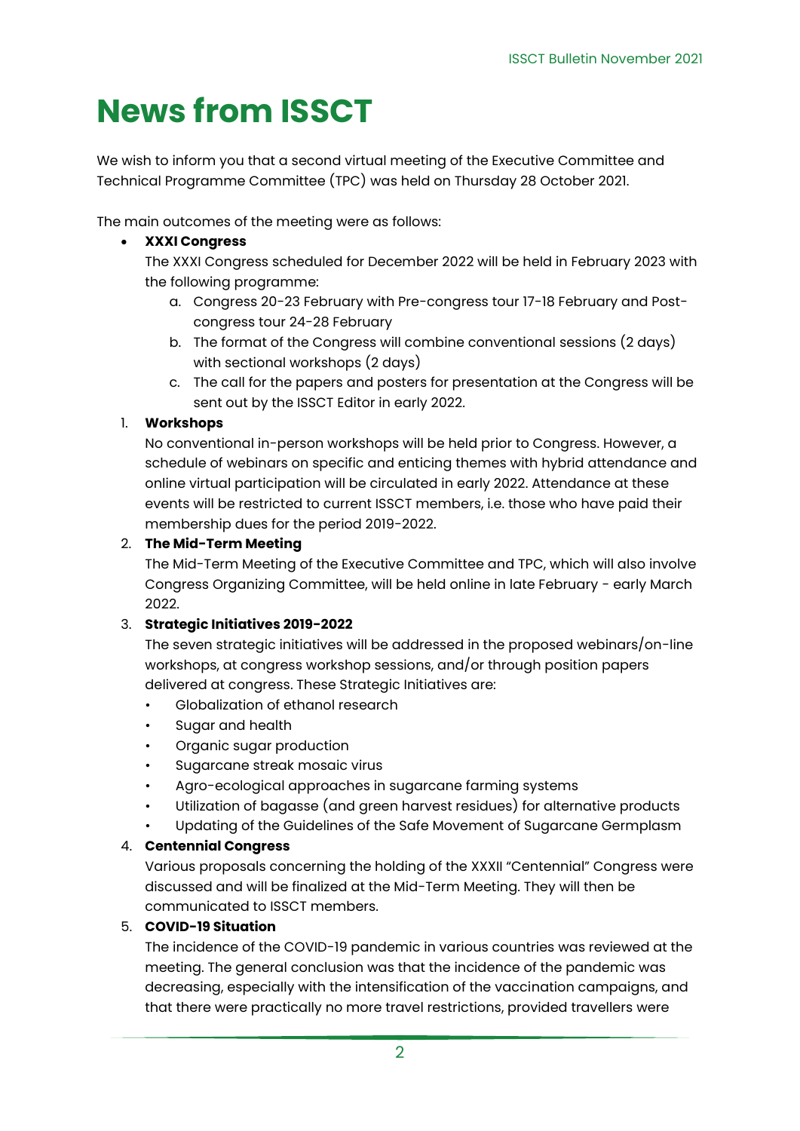# <span id="page-1-0"></span>**News from ISSCT**

We wish to inform you that a second virtual meeting of the Executive Committee and Technical Programme Committee (TPC) was held on Thursday 28 October 2021.

The main outcomes of the meeting were as follows:

### • **XXXI Congress**

The XXXI Congress scheduled for December 2022 will be held in February 2023 with the following programme:

- a. Congress 20-23 February with Pre-congress tour 17-18 February and Postcongress tour 24-28 February
- b. The format of the Congress will combine conventional sessions (2 days) with sectional workshops (2 days)
- c. The call for the papers and posters for presentation at the Congress will be sent out by the ISSCT Editor in early 2022.

### 1. **Workshops**

No conventional in-person workshops will be held prior to Congress. However, a schedule of webinars on specific and enticing themes with hybrid attendance and online virtual participation will be circulated in early 2022. Attendance at these events will be restricted to current ISSCT members, i.e. those who have paid their membership dues for the period 2019-2022.

### 2. **The Mid-Term Meeting**

The Mid-Term Meeting of the Executive Committee and TPC, which will also involve Congress Organizing Committee, will be held online in late February - early March 2022.

### 3. **Strategic Initiatives 2019-2022**

The seven strategic initiatives will be addressed in the proposed webinars/on-line workshops, at congress workshop sessions, and/or through position papers delivered at congress. These Strategic Initiatives are:

- Globalization of ethanol research
- Sugar and health
- Organic sugar production
- Sugarcane streak mosaic virus
- Agro-ecological approaches in sugarcane farming systems
- Utilization of bagasse (and green harvest residues) for alternative products
- Updating of the Guidelines of the Safe Movement of Sugarcane Germplasm

### 4. **Centennial Congress**

Various proposals concerning the holding of the XXXII "Centennial" Congress were discussed and will be finalized at the Mid-Term Meeting. They will then be communicated to ISSCT members.

### 5. **COVID-19 Situation**

The incidence of the COVID-19 pandemic in various countries was reviewed at the meeting. The general conclusion was that the incidence of the pandemic was decreasing, especially with the intensification of the vaccination campaigns, and that there were practically no more travel restrictions, provided travellers were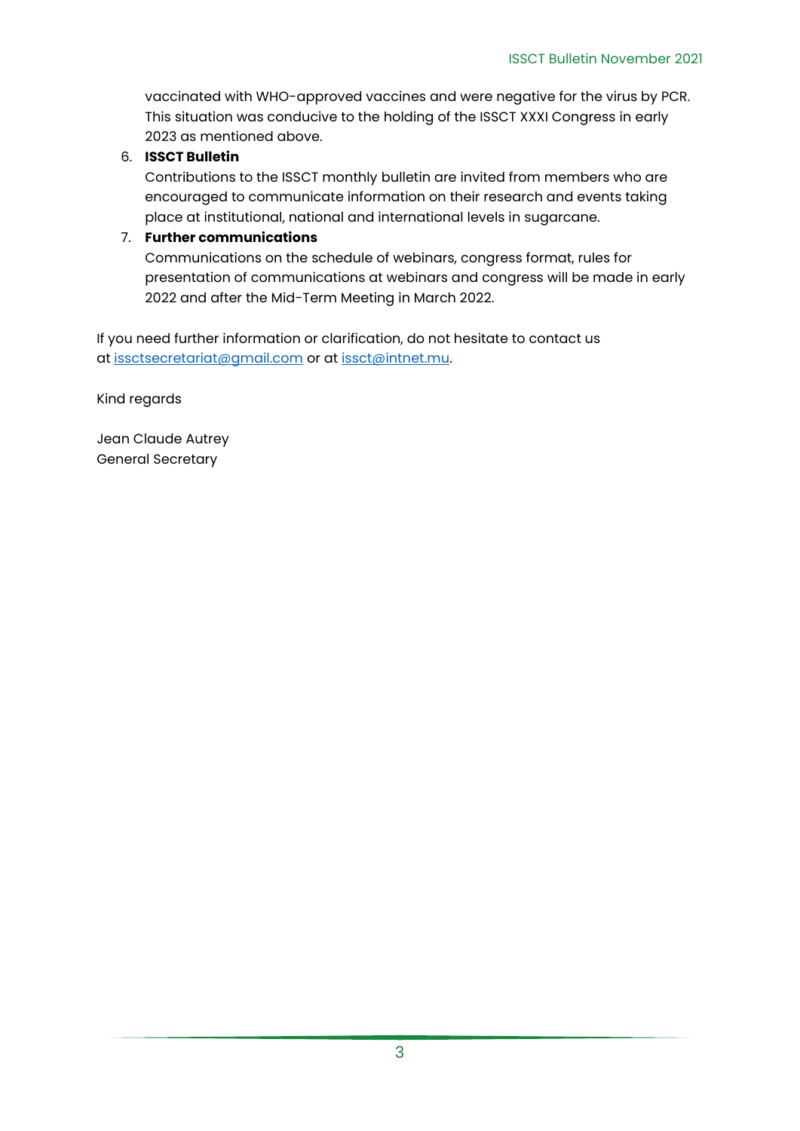vaccinated with WHO-approved vaccines and were negative for the virus by PCR. This situation was conducive to the holding of the ISSCT XXXI Congress in early 2023 as mentioned above.

### 6. **ISSCT Bulletin**

Contributions to the ISSCT monthly bulletin are invited from members who are encouraged to communicate information on their research and events taking place at institutional, national and international levels in sugarcane.

### 7. **Further communications**

Communications on the schedule of webinars, congress format, rules for presentation of communications at webinars and congress will be made in early 2022 and after the Mid-Term Meeting in March 2022.

If you need further information or clarification, do not hesitate to contact us at [issctsecretariat@gmail.com](mailto:issctsecretariat@gmail.com) or at [issct@intnet.mu.](mailto:issct@intnet.mu)

Kind regards

Jean Claude Autrey General Secretary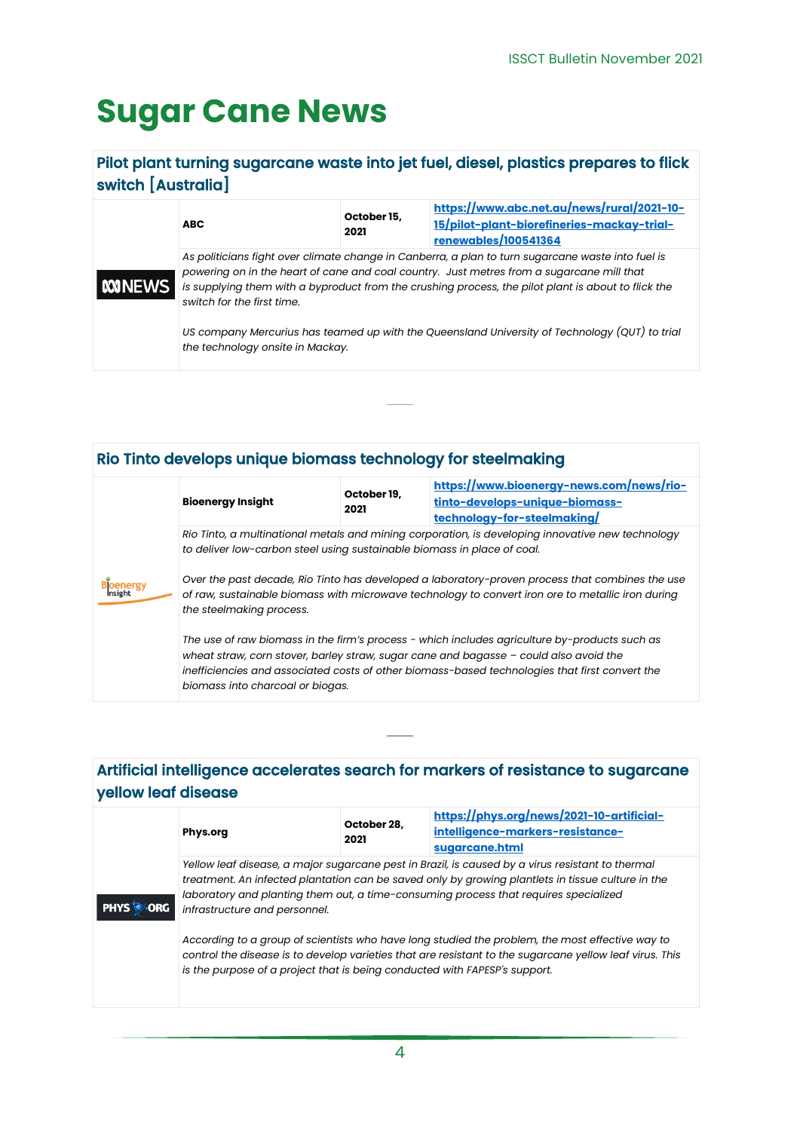## <span id="page-3-0"></span>**Sugar Cane News**

### <span id="page-3-1"></span>Pilot plant turning sugarcane waste into jet fuel, diesel, plastics prepares to flick switch [Australia]

| <b>NONEWS</b> | <b>ABC</b>                       | October 15,<br>2021 | https://www.abc.net.au/news/rural/2021-10-<br>15/pilot-plant-biorefineries-mackay-trial-<br>renewables/100541364                                                                                                                                                                                      |
|---------------|----------------------------------|---------------------|-------------------------------------------------------------------------------------------------------------------------------------------------------------------------------------------------------------------------------------------------------------------------------------------------------|
|               | switch for the first time.       |                     | As politicians fight over climate change in Canberra, a plan to turn sugarcane waste into fuel is<br>powering on in the heart of cane and coal country. Just metres from a sugarcane mill that<br>is supplying them with a byproduct from the crushing process, the pilot plant is about to flick the |
|               | the technology onsite in Mackay. |                     | US company Mercurius has teamed up with the Queensland University of Technology (QUT) to trial                                                                                                                                                                                                        |

### <span id="page-3-2"></span>Rio Tinto develops unique biomass technology for steelmaking

|                             | <b>Bioenergy Insight</b>                                                                                                                                                                                                                                                                                                       | October 19,<br>2021 | https://www.bioenergy-news.com/news/rio-<br>tinto-develops-unique-biomass-<br>technology-for-steelmaking/ |  |  |
|-----------------------------|--------------------------------------------------------------------------------------------------------------------------------------------------------------------------------------------------------------------------------------------------------------------------------------------------------------------------------|---------------------|-----------------------------------------------------------------------------------------------------------|--|--|
| <b>Bloenergy</b><br>Insight | Rio Tinto, a multinational metals and mining corporation, is developing innovative new technology<br>to deliver low-carbon steel using sustainable biomass in place of coal.                                                                                                                                                   |                     |                                                                                                           |  |  |
|                             | Over the past decade, Rio Tinto has developed a laboratory-proven process that combines the use<br>of raw, sustainable biomass with microwave technology to convert iron ore to metallic iron during<br>the steelmaking process.                                                                                               |                     |                                                                                                           |  |  |
|                             | The use of raw biomass in the firm's process - which includes agriculture by-products such as<br>wheat straw, corn stover, barley straw, sugar cane and bagasse $-$ could also avoid the<br>inefficiencies and associated costs of other biomass-based technologies that first convert the<br>biomass into charcoal or biogas. |                     |                                                                                                           |  |  |

### <span id="page-3-3"></span>Artificial intelligence accelerates search for markers of resistance to sugarcane yellow leaf disease

| <b>PHYS</b> | Phys.org                                                                                                                                                                                                                                                                                                                       | October 28.<br>2021 | https://phys.org/news/2021-10-artificial-<br>intelligence-markers-resistance-<br>sugarcane.html                                                                                                            |
|-------------|--------------------------------------------------------------------------------------------------------------------------------------------------------------------------------------------------------------------------------------------------------------------------------------------------------------------------------|---------------------|------------------------------------------------------------------------------------------------------------------------------------------------------------------------------------------------------------|
|             | Yellow leaf disease, a major sugarcane pest in Brazil, is caused by a virus resistant to thermal<br>treatment. An infected plantation can be saved only by growing plantlets in tissue culture in the<br>laboratory and planting them out, a time-consuming process that requires specialized<br>infrastructure and personnel. |                     |                                                                                                                                                                                                            |
|             | is the purpose of a project that is being conducted with FAPESP's support.                                                                                                                                                                                                                                                     |                     | According to a group of scientists who have long studied the problem, the most effective way to<br>control the disease is to develop varieties that are resistant to the sugarcane yellow leaf virus. This |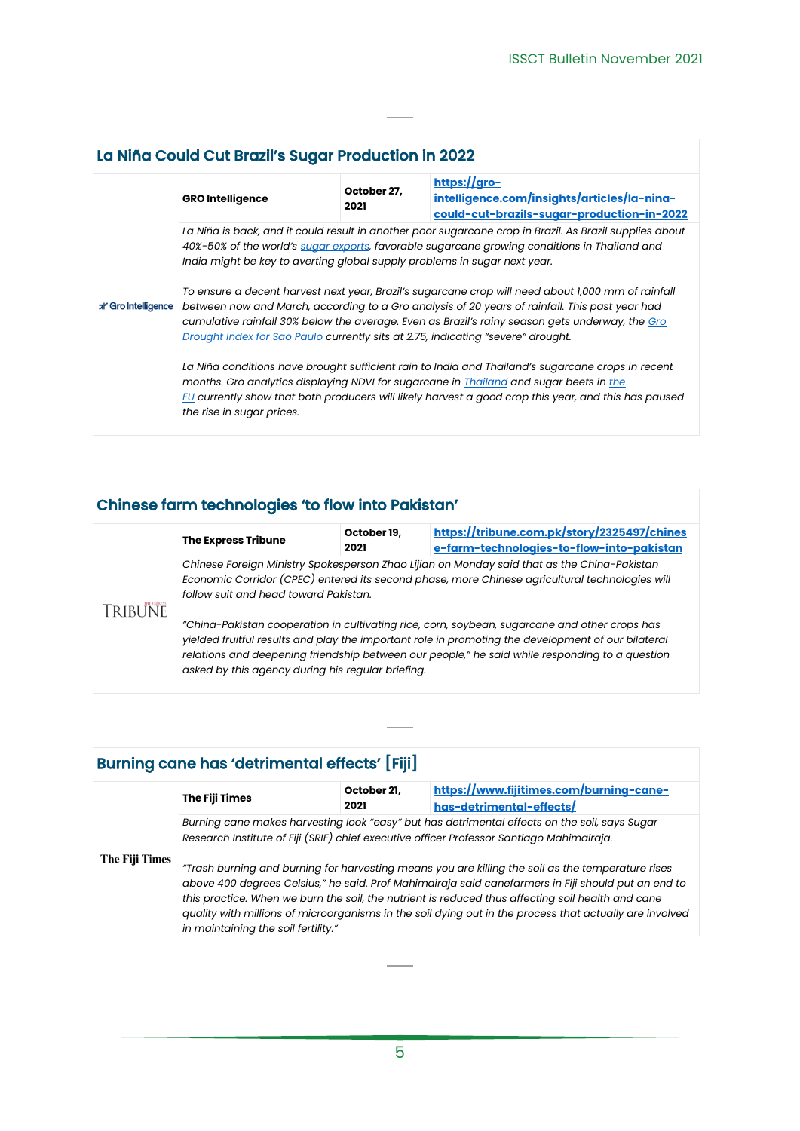<span id="page-4-0"></span>

| La Niña Could Cut Brazil's Sugar Production in 2022 |                                                                                                                                                                                                                                                                                                                                                                                                                                                                                                                                                                                                                                                                                     |                     |                                                                                                           |  |  |
|-----------------------------------------------------|-------------------------------------------------------------------------------------------------------------------------------------------------------------------------------------------------------------------------------------------------------------------------------------------------------------------------------------------------------------------------------------------------------------------------------------------------------------------------------------------------------------------------------------------------------------------------------------------------------------------------------------------------------------------------------------|---------------------|-----------------------------------------------------------------------------------------------------------|--|--|
|                                                     | <b>GRO Intelligence</b>                                                                                                                                                                                                                                                                                                                                                                                                                                                                                                                                                                                                                                                             | October 27,<br>2021 | https://gro-<br>intelligence.com/insights/articles/la-nina-<br>could-cut-brazils-sugar-production-in-2022 |  |  |
| al Gro Intelligence                                 | La Niña is back, and it could result in another poor sugarcane crop in Brazil. As Brazil supplies about<br>40%-50% of the world's sugar exports, favorable sugarcane growing conditions in Thailand and<br>India might be key to averting global supply problems in sugar next year.<br>To ensure a decent harvest next year, Brazil's sugarcane crop will need about 1,000 mm of rainfall<br>between now and March, according to a Gro analysis of 20 years of rainfall. This past year had<br>cumulative rainfall 30% below the average. Even as Brazil's rainy season gets underway, the Gro<br>Drought Index for Sao Paulo currently sits at 2.75, indicating "severe" drought. |                     |                                                                                                           |  |  |
|                                                     | La Niña conditions have brought sufficient rain to India and Thailand's sugarcane crops in recent<br>months. Gro analytics displaying NDVI for sugarcane in Thailand and sugar beets in the<br>EU currently show that both producers will likely harvest a good crop this year, and this has paused<br>the rise in sugar prices.                                                                                                                                                                                                                                                                                                                                                    |                     |                                                                                                           |  |  |

## <span id="page-4-1"></span>Chinese farm technologies 'to flow into Pakistan'

|         | <b>The Express Tribune</b>                                                                                                                                                                                                             | October 19,<br>2021 | https://tribune.com.pk/story/2325497/chines<br>e-farm-technologies-to-flow-into-pakistan                                                                                                                                                                                                              |
|---------|----------------------------------------------------------------------------------------------------------------------------------------------------------------------------------------------------------------------------------------|---------------------|-------------------------------------------------------------------------------------------------------------------------------------------------------------------------------------------------------------------------------------------------------------------------------------------------------|
| TRIBUNE | Chinese Foreign Ministry Spokesperson Zhao Lijian on Monday said that as the China-Pakistan<br>Economic Corridor (CPEC) entered its second phase, more Chinese agricultural technologies will<br>follow suit and head toward Pakistan. |                     |                                                                                                                                                                                                                                                                                                       |
|         | asked by this agency during his regular briefing.                                                                                                                                                                                      |                     | "China-Pakistan cooperation in cultivating rice, corn, soybean, sugarcane and other crops has<br>yielded fruitful results and play the important role in promoting the development of our bilateral<br>relations and deepening friendship between our people," he said while responding to a question |

 $\overline{\phantom{a}}$ 

<span id="page-4-2"></span>

| <b>Burning cane has 'detrimental effects' [Fiji]</b> |                                                                                                                                                                                                                                                                                                                                                                                                                                                                                                                                                                                                                                                               |                     |                                                                     |
|------------------------------------------------------|---------------------------------------------------------------------------------------------------------------------------------------------------------------------------------------------------------------------------------------------------------------------------------------------------------------------------------------------------------------------------------------------------------------------------------------------------------------------------------------------------------------------------------------------------------------------------------------------------------------------------------------------------------------|---------------------|---------------------------------------------------------------------|
|                                                      | The Fiji Times                                                                                                                                                                                                                                                                                                                                                                                                                                                                                                                                                                                                                                                | October 21,<br>2021 | https://www.fijitimes.com/burning-cane-<br>has-detrimental-effects/ |
| The Fiji Times                                       | Burning cane makes harvesting look "easy" but has detrimental effects on the soil, says Sugar<br>Research Institute of Fiji (SRIF) chief executive officer Professor Santiago Mahimairaja.<br>"Trash burning and burning for harvesting means you are killing the soil as the temperature rises<br>above 400 degrees Celsius," he said. Prof Mahimairaja said canefarmers in Fiji should put an end to<br>this practice. When we burn the soil, the nutrient is reduced thus affecting soil health and cane<br>quality with millions of microorganisms in the soil dying out in the process that actually are involved<br>in maintaining the soil fertility." |                     |                                                                     |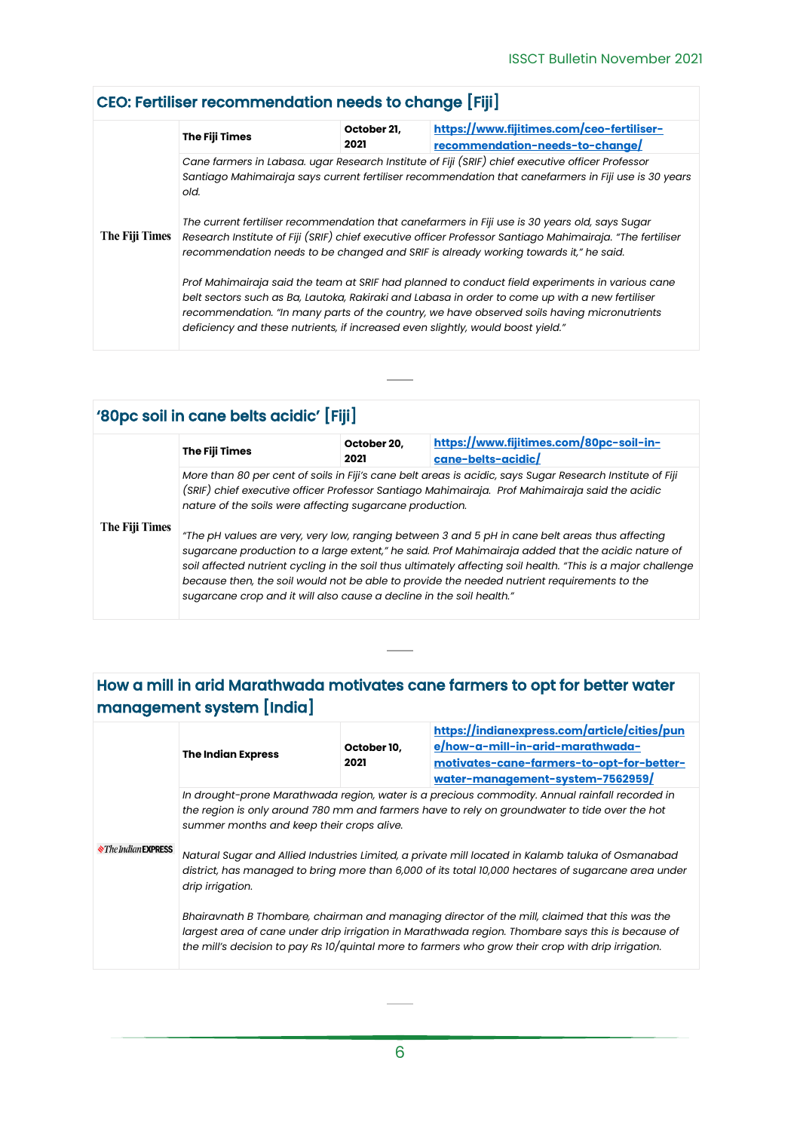### <span id="page-5-0"></span>CEO: Fertiliser recommendation needs to change [Fiji]

| The Fiji Times | The Fiji Times                                                                                                                                                                                                                                                                                      | October 21,<br>2021 | https://www.fijitimes.com/ceo-fertiliser-<br>recommendation-needs-to-change                                                                                                                                                                                                                       |  |  |
|----------------|-----------------------------------------------------------------------------------------------------------------------------------------------------------------------------------------------------------------------------------------------------------------------------------------------------|---------------------|---------------------------------------------------------------------------------------------------------------------------------------------------------------------------------------------------------------------------------------------------------------------------------------------------|--|--|
|                | Cane farmers in Labasa. ugar Research Institute of Fiji (SRIF) chief executive officer Professor<br>Santiago Mahimairaja says current fertiliser recommendation that canefarmers in Fiji use is 30 years<br>old.                                                                                    |                     |                                                                                                                                                                                                                                                                                                   |  |  |
|                | The current fertiliser recommendation that canefarmers in Fiji use is 30 years old, says Sugar<br>Research Institute of Fiji (SRIF) chief executive officer Professor Santiago Mahimairaja. "The fertiliser<br>recommendation needs to be changed and SRIF is already working towards it," he said. |                     |                                                                                                                                                                                                                                                                                                   |  |  |
|                | deficiency and these nutrients, if increased even slightly, would boost yield."                                                                                                                                                                                                                     |                     | Prof Mahimairaja said the team at SRIF had planned to conduct field experiments in various cane<br>belt sectors such as Ba, Lautoka, Rakiraki and Labasa in order to come up with a new fertiliser<br>recommendation. "In many parts of the country, we have observed soils having micronutrients |  |  |

#### <span id="page-5-1"></span>'80pc soil in cane belts acidic' [Fiji] **The Fiji Times October 20, [https://www.fijitimes.com/80pc-soil-in-](https://www.fijitimes.com/80pc-soil-in-cane-belts-acidic/)2021 [cane-belts-acidic/](https://www.fijitimes.com/80pc-soil-in-cane-belts-acidic/)** *More than 80 per cent of soils in Fiji's cane belt areas is acidic, says Sugar Research Institute of Fiji (SRIF) chief executive officer Professor Santiago Mahimairaja. Prof Mahimairaja said the acidic nature of the soils were affecting sugarcane production.* **The Fiji Times** *"The pH values are very, very low, ranging between 3 and 5 pH in cane belt areas thus affecting sugarcane production to a large extent," he said. Prof Mahimairaja added that the acidic nature of soil affected nutrient cycling in the soil thus ultimately affecting soil health. "This is a major challenge because then, the soil would not be able to provide the needed nutrient requirements to the sugarcane crop and it will also cause a decline in the soil health."*

### <span id="page-5-2"></span>How a mill in arid Marathwada motivates cane farmers to opt for better water management system [India]

| <b><i><u>Ne Indian EXPRESS</u></i></b> | <b>The Indian Express</b>                                                                                                                                                                                                                                                                                                                                                                                                                                                    | October 10,<br>2021 | https://indianexpress.com/article/cities/pun<br>e/how-a-mill-in-arid-marathwada-<br>motivates-cane-farmers-to-opt-for-better-<br>water-management-system-7562959/                                                                                                                                        |
|----------------------------------------|------------------------------------------------------------------------------------------------------------------------------------------------------------------------------------------------------------------------------------------------------------------------------------------------------------------------------------------------------------------------------------------------------------------------------------------------------------------------------|---------------------|----------------------------------------------------------------------------------------------------------------------------------------------------------------------------------------------------------------------------------------------------------------------------------------------------------|
|                                        | In drought-prone Marathwada region, water is a precious commodity. Annual rainfall recorded in<br>the region is only around 780 mm and farmers have to rely on groundwater to tide over the hot<br>summer months and keep their crops alive.<br>Natural Sugar and Allied Industries Limited, a private mill located in Kalamb taluka of Osmanabad<br>district, has managed to bring more than 6,000 of its total 10,000 hectares of sugarcane area under<br>drip irrigation. |                     |                                                                                                                                                                                                                                                                                                          |
|                                        |                                                                                                                                                                                                                                                                                                                                                                                                                                                                              |                     | Bhairavnath B Thombare, chairman and managing director of the mill, claimed that this was the<br>largest area of cane under drip irrigation in Marathwada region. Thombare says this is because of<br>the mill's decision to pay Rs 10/quintal more to farmers who grow their crop with drip irrigation. |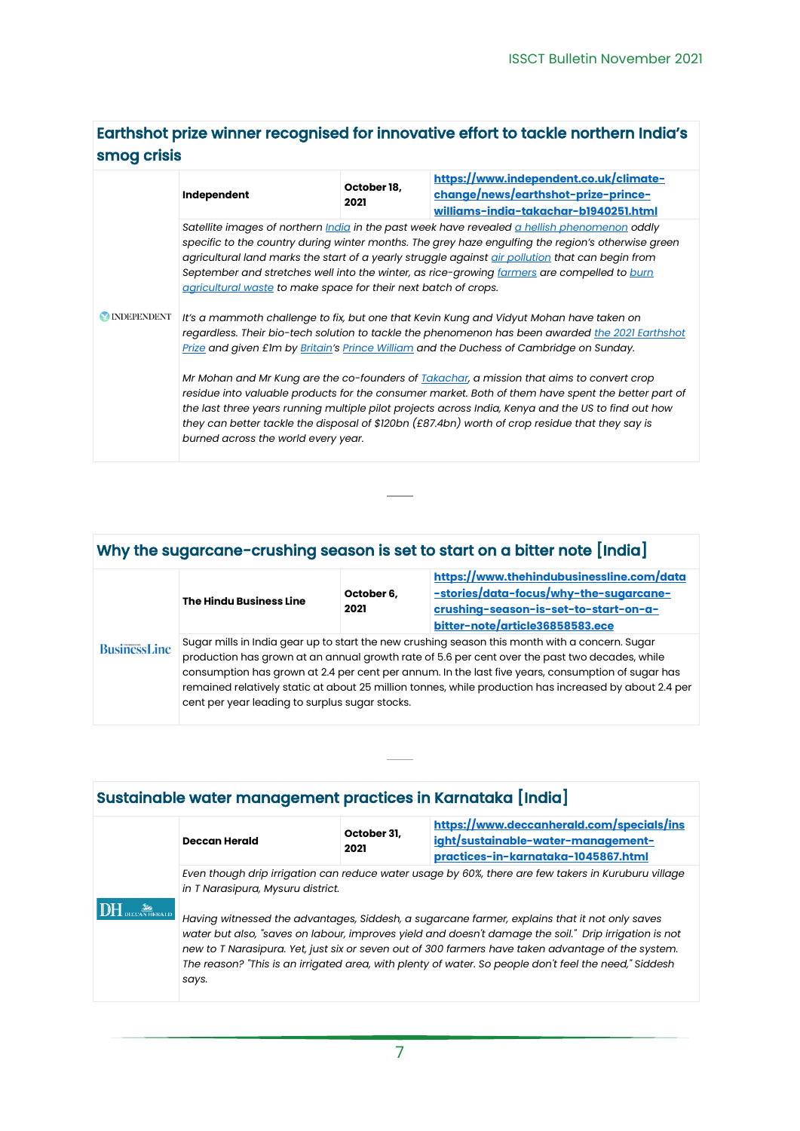### <span id="page-6-0"></span>Earthshot prize winner recognised for innovative effort to tackle northern India's smog crisis

|                     | Independent                                                                                                                                                                                                                                                                                                                                                                                                                                                                                                              | October 18,<br>2021 | https://www.independent.co.uk/climate-<br>change/news/earthshot-prize-prince- |  |
|---------------------|--------------------------------------------------------------------------------------------------------------------------------------------------------------------------------------------------------------------------------------------------------------------------------------------------------------------------------------------------------------------------------------------------------------------------------------------------------------------------------------------------------------------------|---------------------|-------------------------------------------------------------------------------|--|
|                     | williams-india-takachar-b1940251.html<br>Satellite images of northern <i>India</i> in the past week have revealed a hellish phenomenon oddly<br>specific to the country during winter months. The grey haze engulfing the region's otherwise green<br>agricultural land marks the start of a yearly struggle against air pollution that can begin from<br>September and stretches well into the winter, as rice-growing farmers are compelled to burn<br>agricultural waste to make space for their next batch of crops. |                     |                                                                               |  |
| <b>MINDEPENDENT</b> | It's a mammoth challenge to fix, but one that Kevin Kung and Vidyut Mohan have taken on<br>regardless. Their bio-tech solution to tackle the phenomenon has been awarded the 2021 Earthshot<br>Prize and given £1m by Britain's Prince William and the Duchess of Cambridge on Sunday.                                                                                                                                                                                                                                   |                     |                                                                               |  |
|                     | Mr Mohan and Mr Kung are the co-founders of <b>Takachar</b> , a mission that aims to convert crop<br>residue into valuable products for the consumer market. Both of them have spent the better part of<br>the last three years running multiple pilot projects across India, Kenya and the US to find out how<br>they can better tackle the disposal of \$120bn (£87.4bn) worth of crop residue that they say is<br>burned across the world every year.                                                                 |                     |                                                                               |  |

### <span id="page-6-1"></span>Why the sugarcane-crushing season is set to start on a bitter note [India]

| <b>BusinessLine</b> | The Hindu Business Line                                                                                                                                                                                                                                                                                                                                                                                                                                           | October 6,<br>2021 | https://www.thehindubusinessline.com/data<br>-stories/data-focus/why-the-sugarcane-<br>crushing-season-is-set-to-start-on-a-<br>bitter-note/article36858583.ece |
|---------------------|-------------------------------------------------------------------------------------------------------------------------------------------------------------------------------------------------------------------------------------------------------------------------------------------------------------------------------------------------------------------------------------------------------------------------------------------------------------------|--------------------|-----------------------------------------------------------------------------------------------------------------------------------------------------------------|
|                     | Sugar mills in India gear up to start the new crushing season this month with a concern. Sugar<br>production has grown at an annual growth rate of 5.6 per cent over the past two decades, while<br>consumption has grown at 2.4 per cent per annum. In the last five years, consumption of sugar has<br>remained relatively static at about 25 million tonnes, while production has increased by about 2.4 per<br>cent per year leading to surplus sugar stocks. |                    |                                                                                                                                                                 |

### <span id="page-6-2"></span>Sustainable water management practices in Karnataka [India]

|  | <b>Deccan Herald</b>                                                                                                                                                                                                                                                                                                                                                                                                           | October 31,<br>2021 | https://www.deccanherald.com/specials/ins<br>ight/sustainable-water-management-<br>practices-in-karnataka-1045867.html |
|--|--------------------------------------------------------------------------------------------------------------------------------------------------------------------------------------------------------------------------------------------------------------------------------------------------------------------------------------------------------------------------------------------------------------------------------|---------------------|------------------------------------------------------------------------------------------------------------------------|
|  | Even though drip irrigation can reduce water usage by 60%, there are few takers in Kuruburu village<br>in T Narasipura, Mysuru district.                                                                                                                                                                                                                                                                                       |                     |                                                                                                                        |
|  | Having witnessed the advantages, Siddesh, a sugarcane farmer, explains that it not only saves<br>water but also, "saves on labour, improves yield and doesn't damage the soil." Drip irrigation is not<br>new to T Narasipura. Yet, just six or seven out of 300 farmers have taken advantage of the system.<br>The reason? "This is an irrigated area, with plenty of water. So people don't feel the need," Siddesh<br>says. |                     |                                                                                                                        |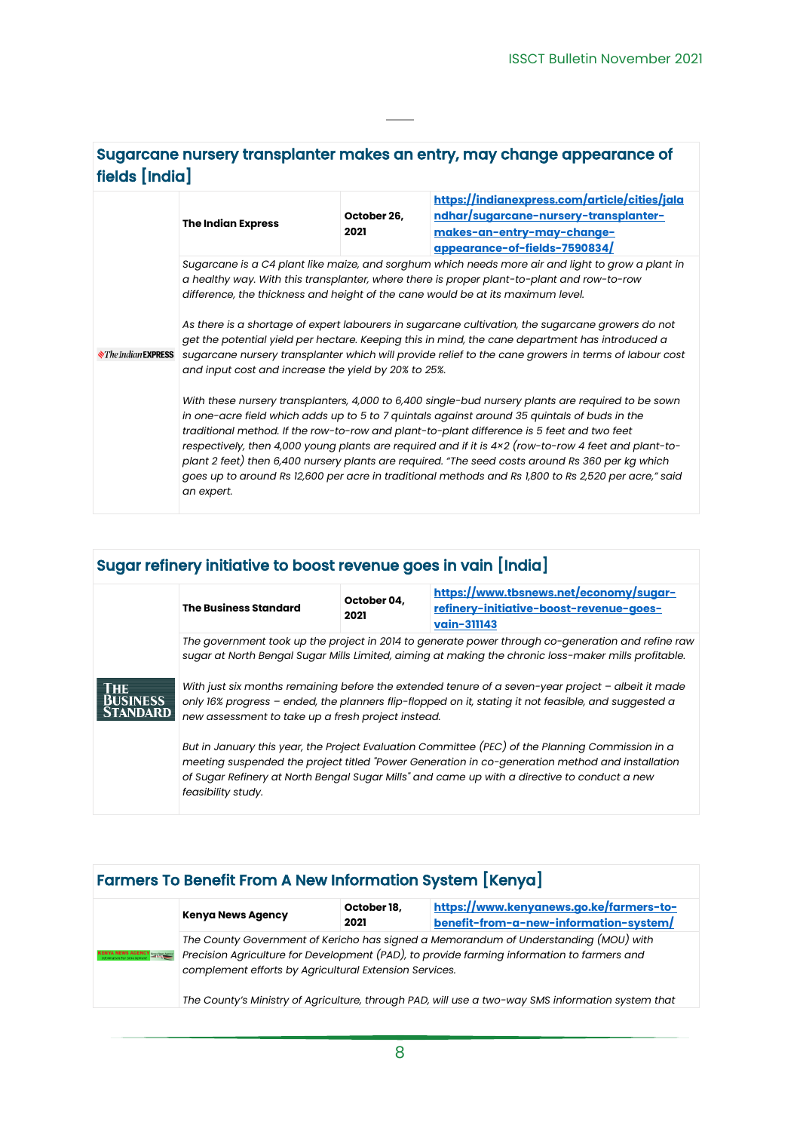### <span id="page-7-0"></span>Sugarcane nursery transplanter makes an entry, may change appearance of fields [India]

|                                    | <b>The Indian Express</b>                                                                                                                                                                                                                                                                                                                                                                                                                                                                                                                                                                                                          | October 26,<br>2021 | https://indianexpress.com/article/cities/jala<br>ndhar/sugarcane-nursery-transplanter-<br>makes-an-entry-may-change-<br>appearance-of-fields-7590834/ |  |  |
|------------------------------------|------------------------------------------------------------------------------------------------------------------------------------------------------------------------------------------------------------------------------------------------------------------------------------------------------------------------------------------------------------------------------------------------------------------------------------------------------------------------------------------------------------------------------------------------------------------------------------------------------------------------------------|---------------------|-------------------------------------------------------------------------------------------------------------------------------------------------------|--|--|
|                                    | Sugarcane is a C4 plant like maize, and sorghum which needs more air and light to grow a plant in<br>a healthy way. With this transplanter, where there is proper plant-to-plant and row-to-row<br>difference, the thickness and height of the cane would be at its maximum level.                                                                                                                                                                                                                                                                                                                                                 |                     |                                                                                                                                                       |  |  |
| <b>N</b> The Indian <b>EXPRESS</b> | As there is a shortage of expert labourers in sugarcane cultivation, the sugarcane growers do not<br>get the potential yield per hectare. Keeping this in mind, the cane department has introduced a<br>sugarcane nursery transplanter which will provide relief to the cane growers in terms of labour cost<br>and input cost and increase the yield by 20% to 25%.                                                                                                                                                                                                                                                               |                     |                                                                                                                                                       |  |  |
|                                    | With these nursery transplanters, 4,000 to 6,400 single-bud nursery plants are required to be sown<br>in one-acre field which adds up to 5 to 7 quintals against around 35 quintals of buds in the<br>traditional method. If the row-to-row and plant-to-plant difference is 5 feet and two feet<br>respectively, then 4,000 young plants are required and if it is 4x2 (row-to-row 4 feet and plant-to-<br>plant 2 feet) then 6,400 nursery plants are required. "The seed costs around Rs 360 per kg which<br>goes up to around Rs 12,600 per acre in traditional methods and Rs 1,800 to Rs 2,520 per acre," said<br>an expert. |                     |                                                                                                                                                       |  |  |

## <span id="page-7-1"></span>Sugar refinery initiative to boost revenue goes in vain [India]

| <b>THE</b><br><b>BUSINESS</b><br><b>ANDARD</b> | <b>The Business Standard</b>                                                                                                                                                                                          | October 04.<br>2021 | https://www.tbsnews.net/economy/sugar-<br>refinery-initiative-boost-revenue-goes-<br>vain-311143                                                                                                                                                                                                                                                                                                                                                                                                                              |  |  |
|------------------------------------------------|-----------------------------------------------------------------------------------------------------------------------------------------------------------------------------------------------------------------------|---------------------|-------------------------------------------------------------------------------------------------------------------------------------------------------------------------------------------------------------------------------------------------------------------------------------------------------------------------------------------------------------------------------------------------------------------------------------------------------------------------------------------------------------------------------|--|--|
|                                                | new assessment to take up a fresh project instead.                                                                                                                                                                    |                     | The government took up the project in 2014 to generate power through co-generation and refine raw<br>sugar at North Bengal Sugar Mills Limited, aiming at making the chronic loss-maker mills profitable.<br>With just six months remaining before the extended tenure of a seven-year project $-$ albeit it made<br>only 16% progress - ended, the planners flip-flopped on it, stating it not feasible, and suggested a<br>But in January this year, the Project Evaluation Committee (PEC) of the Planning Commission in a |  |  |
|                                                | meeting suspended the project titled "Power Generation in co-generation method and installation<br>of Sugar Refinery at North Bengal Sugar Mills" and came up with a directive to conduct a new<br>feasibility study. |                     |                                                                                                                                                                                                                                                                                                                                                                                                                                                                                                                               |  |  |

### <span id="page-7-2"></span>Farmers To Benefit From A New Information System [Kenya]

|                                  | <b>Kenya News Agency</b>                               | October 18,<br>2021 | https://www.kenyanews.go.ke/farmers-to-<br>benefit-from-a-new-information-system/                                                                                                                                                                                                       |
|----------------------------------|--------------------------------------------------------|---------------------|-----------------------------------------------------------------------------------------------------------------------------------------------------------------------------------------------------------------------------------------------------------------------------------------|
| <b>VS AGENCY Examples Agency</b> | complement efforts by Agricultural Extension Services. |                     | The County Government of Kericho has signed a Memorandum of Understanding (MOU) with<br>Precision Agriculture for Development (PAD), to provide farming information to farmers and<br>The County's Ministry of Agriculture, through PAD, will use a two-way SMS information system that |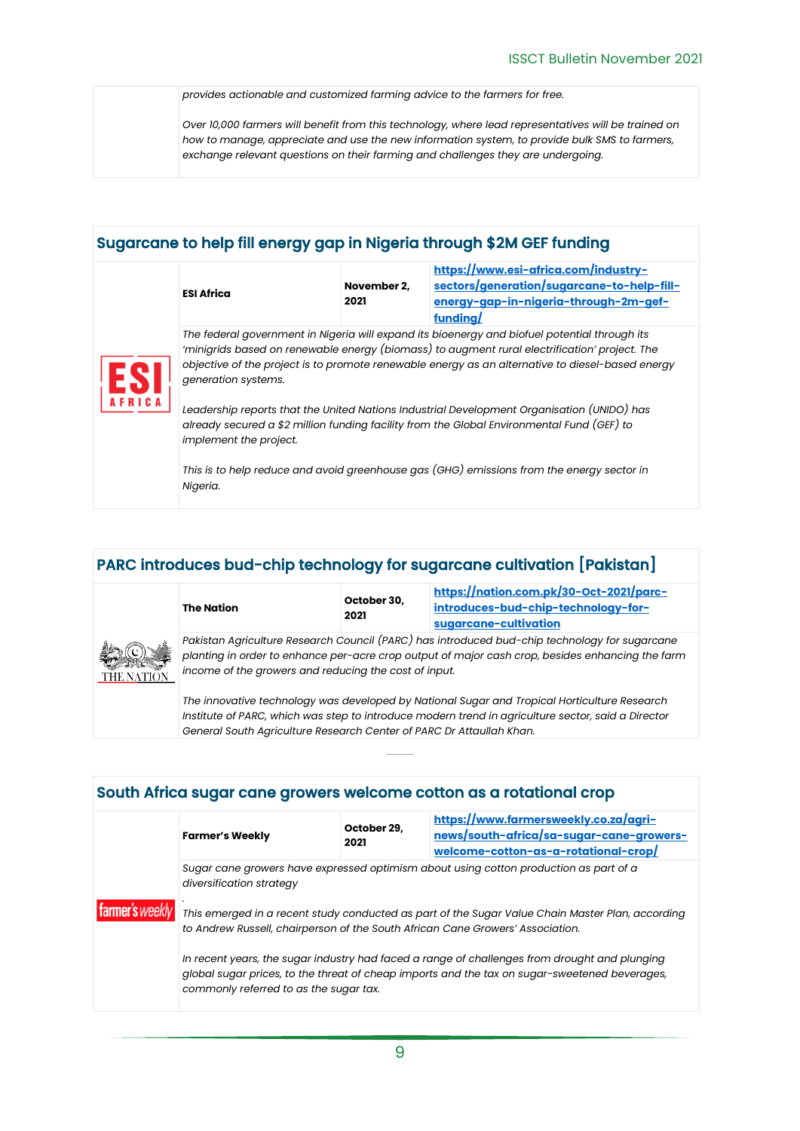*provides actionable and customized farming advice to the farmers for free.*

*Over 10,000 farmers will benefit from this technology, where lead representatives will be trained on how to manage, appreciate and use the new information system, to provide bulk SMS to farmers, exchange relevant questions on their farming and challenges they are undergoing.*

### <span id="page-8-0"></span>Sugarcane to help fill energy gap in Nigeria through \$2M GEF funding

|  | <b>ESI Africa</b>                                                                                                                                                                                                                                                                                                         | November 2.<br>2021 | https://www.esi-africa.com/industry-<br>sectors/generation/sugarcane-to-help-fill-<br>energy-gap-in-nigeria-through-2m-gef-<br>funding/ |  |
|--|---------------------------------------------------------------------------------------------------------------------------------------------------------------------------------------------------------------------------------------------------------------------------------------------------------------------------|---------------------|-----------------------------------------------------------------------------------------------------------------------------------------|--|
|  | The federal government in Nigeria will expand its bioenergy and biofuel potential through its<br>'minigrids based on renewable energy (biomass) to augment rural electrification' project. The<br>objective of the project is to promote renewable energy as an alternative to diesel-based energy<br>generation systems. |                     |                                                                                                                                         |  |
|  | Leadership reports that the United Nations Industrial Development Organisation (UNIDO) has<br>already secured a \$2 million funding facility from the Global Environmental Fund (GEF) to<br>implement the project.                                                                                                        |                     |                                                                                                                                         |  |
|  | Nigeria.                                                                                                                                                                                                                                                                                                                  |                     | This is to help reduce and avoid greenhouse gas (GHG) emissions from the energy sector in                                               |  |

### <span id="page-8-1"></span>PARC introduces bud-chip technology for sugarcane cultivation [Pakistan]



|                      | The Nation                                                                                       | October 30,<br>2021 | https://nation.com.pk/30-Oct-2021/parc-<br>introduces-bud-chip-technology-for-<br>sugarcane-cultivation |
|----------------------|--------------------------------------------------------------------------------------------------|---------------------|---------------------------------------------------------------------------------------------------------|
|                      |                                                                                                  |                     | Pakistan Agriculture Research Council (PARC) has introduced bud-chip technology for sugarcane           |
| $\frac{1}{\sqrt{N}}$ | planting in order to enhance per-acre crop output of major cash crop, besides enhancing the farm |                     |                                                                                                         |
|                      | income of the growers and reducing the cost of input.                                            |                     |                                                                                                         |

*The innovative technology was developed by National Sugar and Tropical Horticulture Research Institute of PARC, which was step to introduce modern trend in agriculture sector, said a Director General South Agriculture Research Center of PARC Dr Attaullah Khan.*

### <span id="page-8-2"></span>South Africa sugar cane growers welcome cotton as a rotational crop **[https://www.farmersweekly.co.za/agri-](https://www.farmersweekly.co.za/agri-news/south-africa/sa-sugar-cane-growers-welcome-cotton-as-a-rotational-crop/)**

|                 | <b>Farmer's Weekly</b>                                                                                                                                                                                                                   | October 29,<br>2021 | <u>https://www.farmersweekly.co.za/agri-</u><br>news/south-africa/sa-sugar-cane-growers-<br>welcome-cotton-as-a-rotational-crop/ |  |  |
|-----------------|------------------------------------------------------------------------------------------------------------------------------------------------------------------------------------------------------------------------------------------|---------------------|----------------------------------------------------------------------------------------------------------------------------------|--|--|
|                 | Sugar cane growers have expressed optimism about using cotton production as part of a<br>diversification strategy                                                                                                                        |                     |                                                                                                                                  |  |  |
| farmer's weekly | This emerged in a recent study conducted as part of the Sugar Value Chain Master Plan, according<br>to Andrew Russell, chairperson of the South African Cane Growers' Association.                                                       |                     |                                                                                                                                  |  |  |
|                 | In recent years, the sugar industry had faced a range of challenges from drought and plunging<br>global sugar prices, to the threat of cheap imports and the tax on sugar-sweetened beverages,<br>commonly referred to as the sugar tax. |                     |                                                                                                                                  |  |  |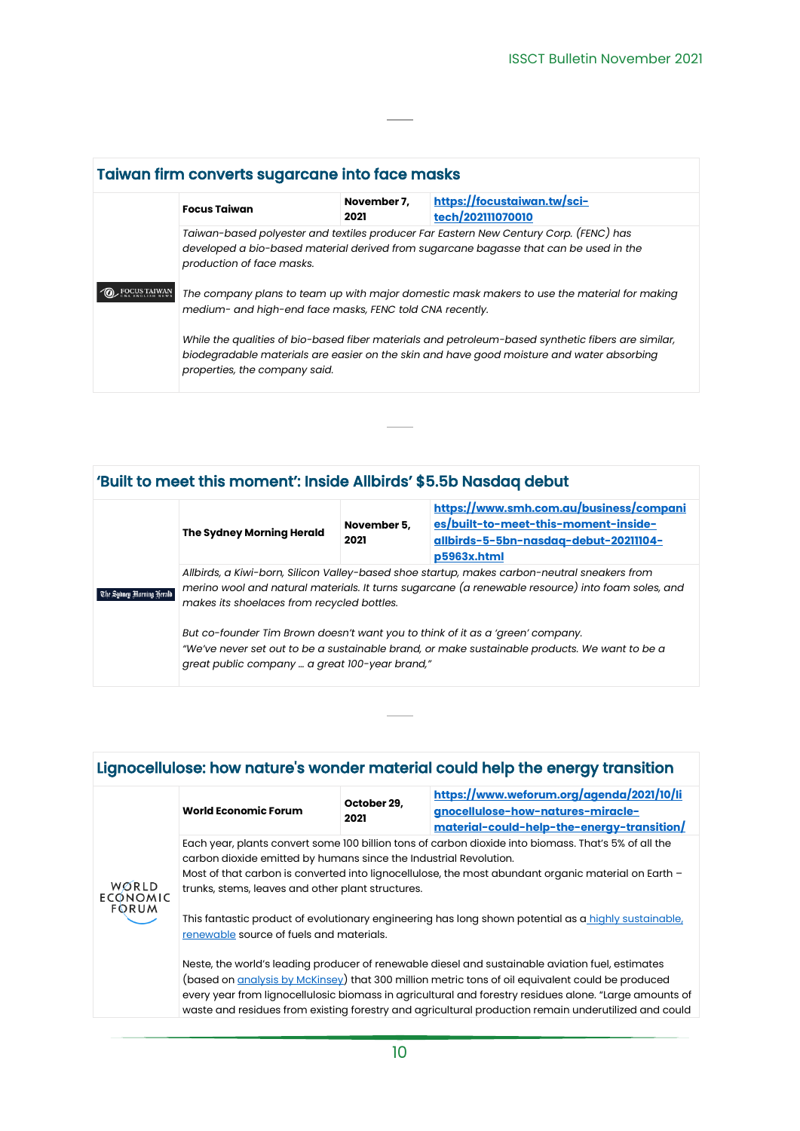<span id="page-9-0"></span>

| Taiwan firm converts sugarcane into face masks                                                                                                                                                              |                     |                                                                                                                                                                                                 |  |
|-------------------------------------------------------------------------------------------------------------------------------------------------------------------------------------------------------------|---------------------|-------------------------------------------------------------------------------------------------------------------------------------------------------------------------------------------------|--|
| <b>Focus Taiwan</b>                                                                                                                                                                                         | November 7,<br>2021 | https://focustaiwan.tw/sci-<br>tech/202111070010                                                                                                                                                |  |
| Taiwan-based polyester and textiles producer Far Eastern New Century Corp. (FENC) has<br>developed a bio-based material derived from sugarcane bagasse that can be used in the<br>production of face masks. |                     |                                                                                                                                                                                                 |  |
| The company plans to team up with major domestic mask makers to use the material for making<br>medium- and high-end face masks, FENC told CNA recently.                                                     |                     |                                                                                                                                                                                                 |  |
| properties, the company said.                                                                                                                                                                               |                     | While the qualities of bio-based fiber materials and petroleum-based synthetic fibers are similar,<br>biodegradable materials are easier on the skin and have good moisture and water absorbing |  |

## <span id="page-9-1"></span>'Built to meet this moment': Inside Allbirds' \$5.5b Nasdaq debut

| The Sydney Morning Herald | The Sydney Morning Herald                                                                                                                                                                                                                       | November 5,<br>2021 | https://www.smh.com.au/business/compani<br>es/built-to-meet-this-moment-inside-<br>allbirds-5-5bn-nasdaq-debut-20211104-<br>p5963x.html                                         |  |
|---------------------------|-------------------------------------------------------------------------------------------------------------------------------------------------------------------------------------------------------------------------------------------------|---------------------|---------------------------------------------------------------------------------------------------------------------------------------------------------------------------------|--|
|                           | Allbirds, a Kiwi-born, Silicon Valley-based shoe startup, makes carbon-neutral sneakers from<br>merino wool and natural materials. It turns sugarcane (a renewable resource) into foam soles, and<br>makes its shoelaces from recycled bottles. |                     |                                                                                                                                                                                 |  |
|                           | great public company  a great 100-year brand,"                                                                                                                                                                                                  |                     | But co-founder Tim Brown doesn't want you to think of it as a 'green' company.<br>"We've never set out to be a sustainable brand, or make sustainable products. We want to be a |  |

<span id="page-9-2"></span>

|                                          |                                                                                                                                                                                                                                                                                                                                                                                                                                                                                                                                                                                                                                                                                                   |                     | Lignocellulose: how nature's wonder material could help the energy transition                                                                                                                                  |  |  |
|------------------------------------------|---------------------------------------------------------------------------------------------------------------------------------------------------------------------------------------------------------------------------------------------------------------------------------------------------------------------------------------------------------------------------------------------------------------------------------------------------------------------------------------------------------------------------------------------------------------------------------------------------------------------------------------------------------------------------------------------------|---------------------|----------------------------------------------------------------------------------------------------------------------------------------------------------------------------------------------------------------|--|--|
| WORLD<br><b>ECONOMIC</b><br><b>FORUM</b> | <b>World Economic Forum</b>                                                                                                                                                                                                                                                                                                                                                                                                                                                                                                                                                                                                                                                                       | October 29,<br>2021 | https://www.weforum.org/agenda/2021/10/li<br>gnocellulose-how-natures-miracle-<br>material-could-help-the-energy-transition/                                                                                   |  |  |
|                                          | Each year, plants convert some 100 billion tons of carbon dioxide into biomass. That's 5% of all the<br>carbon dioxide emitted by humans since the Industrial Revolution.<br>Most of that carbon is converted into lignocellulose, the most abundant organic material on Earth -<br>trunks, stems, leaves and other plant structures.<br>This fantastic product of evolutionary engineering has long shown potential as a highly sustainable,<br>renewable source of fuels and materials.<br>Neste, the world's leading producer of renewable diesel and sustainable aviation fuel, estimates<br>(based on analysis by McKinsey) that 300 million metric tons of oil equivalent could be produced |                     |                                                                                                                                                                                                                |  |  |
|                                          |                                                                                                                                                                                                                                                                                                                                                                                                                                                                                                                                                                                                                                                                                                   |                     | every year from lignocellulosic biomass in agricultural and forestry residues alone. "Large amounts of<br>waste and residues from existing forestry and agricultural production remain underutilized and could |  |  |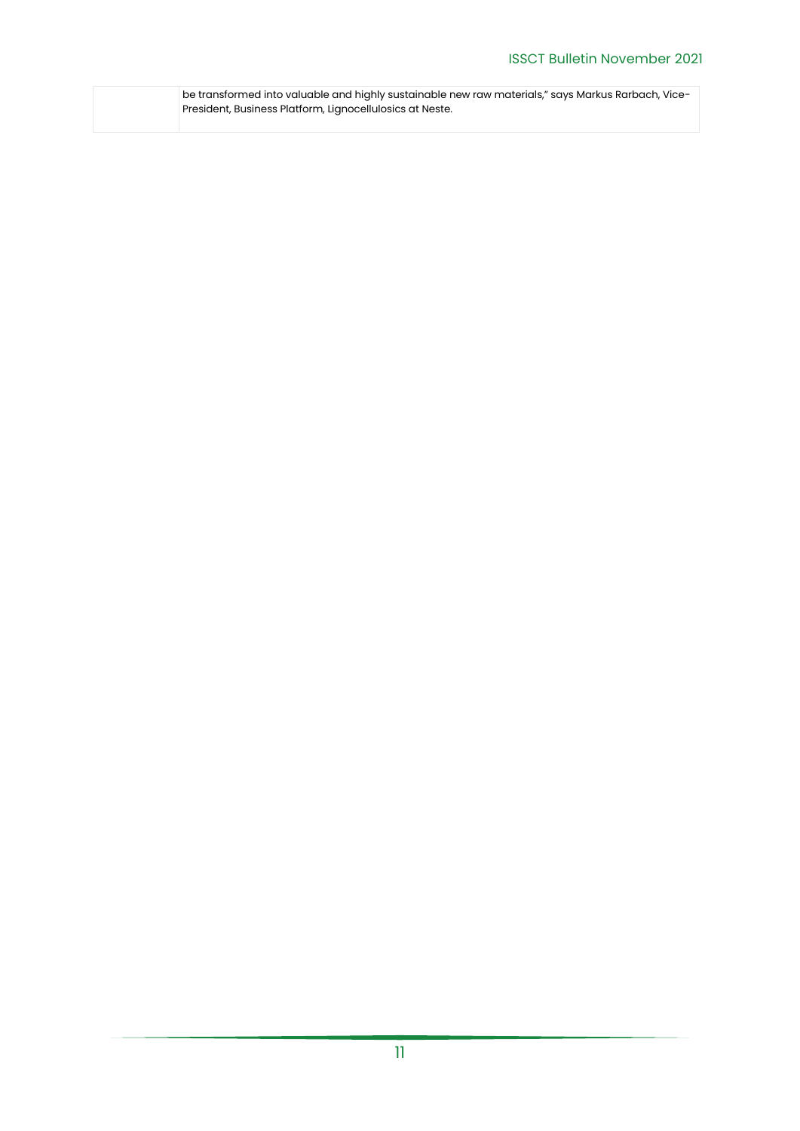| be transformed into valuable and highly sustainable new raw materials," says Markus Rarbach, Vice- |
|----------------------------------------------------------------------------------------------------|
| President, Business Platform, Lignocellulosics at Neste.                                           |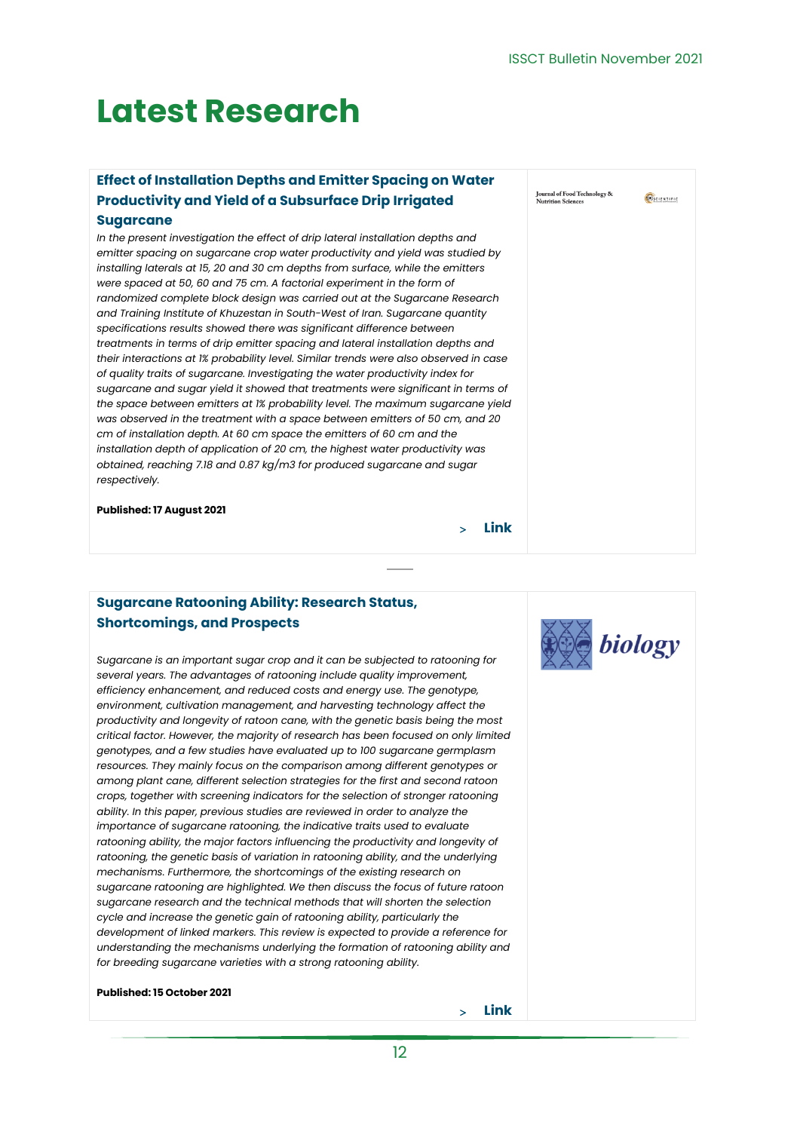$\overline{(\bullet)}$ SCIENTIFIC

Journal of Food Technology &

## <span id="page-11-0"></span>**Latest Research**

### <span id="page-11-1"></span>**Effect of Installation Depths and Emitter Spacing on Water Productivity and Yield of a Subsurface Drip Irrigated**

#### **Sugarcane**

*In the present investigation the effect of drip lateral installation depths and emitter spacing on sugarcane crop water productivity and yield was studied by installing laterals at 15, 20 and 30 cm depths from surface, while the emitters were spaced at 50, 60 and 75 cm. A factorial experiment in the form of randomized complete block design was carried out at the Sugarcane Research and Training Institute of Khuzestan in South-West of Iran. Sugarcane quantity specifications results showed there was significant difference between treatments in terms of drip emitter spacing and lateral installation depths and their interactions at 1% probability level. Similar trends were also observed in case of quality traits of sugarcane. Investigating the water productivity index for sugarcane and sugar yield it showed that treatments were significant in terms of the space between emitters at 1% probability level. The maximum sugarcane yield was observed in the treatment with a space between emitters of 50 cm, and 20 cm of installation depth. At 60 cm space the emitters of 60 cm and the installation depth of application of 20 cm, the highest water productivity was obtained, reaching 7.18 and 0.87 kg/m3 for produced sugarcane and sugar respectively.*

**Published: 17 August 2021**

#### <span id="page-11-2"></span>**Sugarcane Ratooning Ability: Research Status, Shortcomings, and Prospects**

*Sugarcane is an important sugar crop and it can be subjected to ratooning for several years. The advantages of ratooning include quality improvement, efficiency enhancement, and reduced costs and energy use. The genotype, environment, cultivation management, and harvesting technology affect the productivity and longevity of ratoon cane, with the genetic basis being the most critical factor. However, the majority of research has been focused on only limited genotypes, and a few studies have evaluated up to 100 sugarcane germplasm*  resources. They mainly focus on the comparison among different genotypes or *among plant cane, different selection strategies for the first and second ratoon crops, together with screening indicators for the selection of stronger ratooning ability. In this paper, previous studies are reviewed in order to analyze the importance of sugarcane ratooning, the indicative traits used to evaluate ratooning ability, the major factors influencing the productivity and longevity of ratooning, the genetic basis of variation in ratooning ability, and the underlying mechanisms. Furthermore, the shortcomings of the existing research on sugarcane ratooning are highlighted. We then discuss the focus of future ratoon sugarcane research and the technical methods that will shorten the selection cycle and increase the genetic gain of ratooning ability, particularly the development of linked markers. This review is expected to provide a reference for understanding the mechanisms underlying the formation of ratooning ability and for breeding sugarcane varieties with a strong ratooning ability.*

**Published: 15 October 2021**

**[Link](https://www.mdpi.com/2079-7737/10/10/1052)**

**[Link](https://www.onlinescientificresearch.com/articles/effect-of-installation-depths-and-emitter-spacing-on-water-productivity-and-yield-of-a-subsurface-drip-irrigated-sugarcane.pdf)**

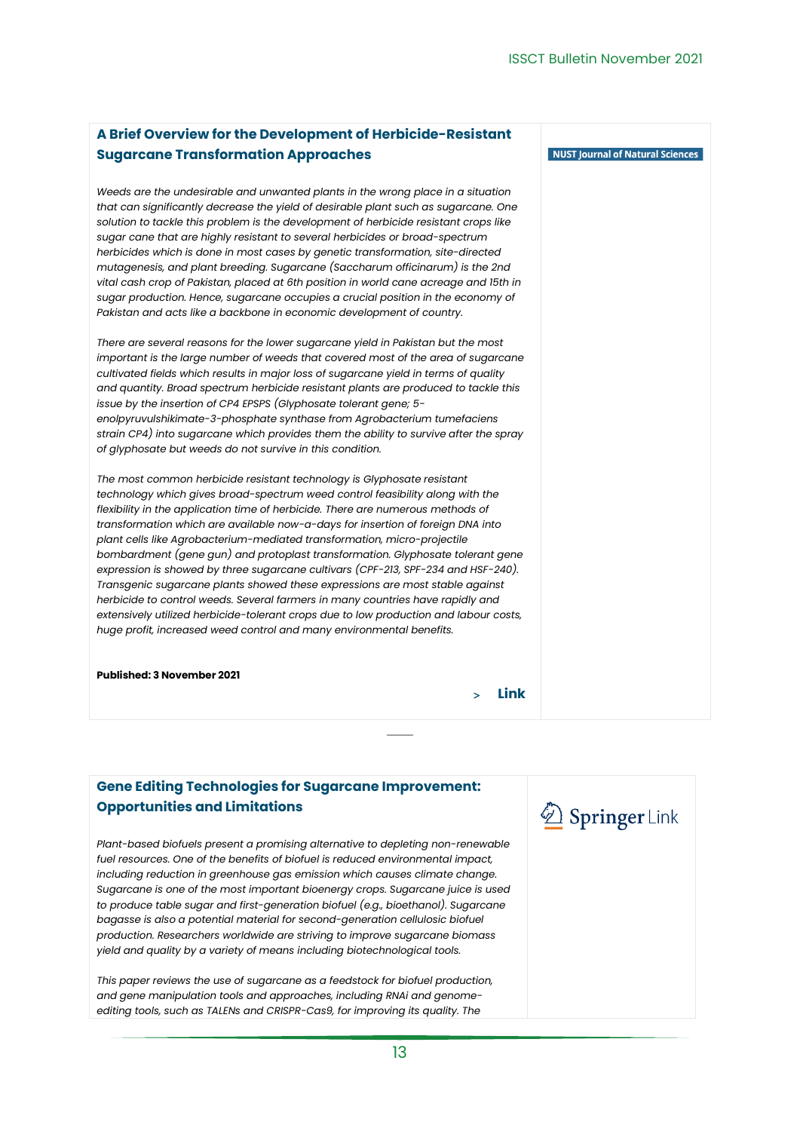NUST Journal of Natural Sciences

### <span id="page-12-0"></span>**A Brief Overview for the Development of Herbicide-Resistant Sugarcane Transformation Approaches**

*Weeds are the undesirable and unwanted plants in the wrong place in a situation that can significantly decrease the yield of desirable plant such as sugarcane. One solution to tackle this problem is the development of herbicide resistant crops like sugar cane that are highly resistant to several herbicides or broad-spectrum herbicides which is done in most cases by genetic transformation, site-directed mutagenesis, and plant breeding. Sugarcane (Saccharum officinarum) is the 2nd vital cash crop of Pakistan, placed at 6th position in world cane acreage and 15th in sugar production. Hence, sugarcane occupies a crucial position in the economy of Pakistan and acts like a backbone in economic development of country.* 

*There are several reasons for the lower sugarcane yield in Pakistan but the most important is the large number of weeds that covered most of the area of sugarcane cultivated fields which results in major loss of sugarcane yield in terms of quality and quantity. Broad spectrum herbicide resistant plants are produced to tackle this issue by the insertion of CP4 EPSPS (Glyphosate tolerant gene; 5 enolpyruvulshikimate-3-phosphate synthase from Agrobacterium tumefaciens strain CP4) into sugarcane which provides them the ability to survive after the spray of glyphosate but weeds do not survive in this condition.* 

*The most common herbicide resistant technology is Glyphosate resistant technology which gives broad-spectrum weed control feasibility along with the flexibility in the application time of herbicide. There are numerous methods of transformation which are available now-a-days for insertion of foreign DNA into plant cells like Agrobacterium-mediated transformation, micro-projectile bombardment (gene gun) and protoplast transformation. Glyphosate tolerant gene expression is showed by three sugarcane cultivars (CPF-213, SPF-234 and HSF-240). Transgenic sugarcane plants showed these expressions are most stable against herbicide to control weeds. Several farmers in many countries have rapidly and extensively utilized herbicide-tolerant crops due to low production and labour costs, huge profit, increased weed control and many environmental benefits.*

**Published: 3 November 2021**

**[Link](https://njns.nust.edu.pk/index.php/njns/article/view/62)**

### <span id="page-12-1"></span>**Gene Editing Technologies for Sugarcane Improvement: Opportunities and Limitations**

*Plant-based biofuels present a promising alternative to depleting non-renewable fuel resources. One of the benefits of biofuel is reduced environmental impact, including reduction in greenhouse gas emission which causes climate change. Sugarcane is one of the most important bioenergy crops. Sugarcane juice is used to produce table sugar and first-generation biofuel (e.g., bioethanol). Sugarcane bagasse is also a potential material for second-generation cellulosic biofuel production. Researchers worldwide are striving to improve sugarcane biomass yield and quality by a variety of means including biotechnological tools.* 

*This paper reviews the use of sugarcane as a feedstock for biofuel production, and gene manipulation tools and approaches, including RNAi and genomeediting tools, such as TALENs and CRISPR-Cas9, for improving its quality. The* 

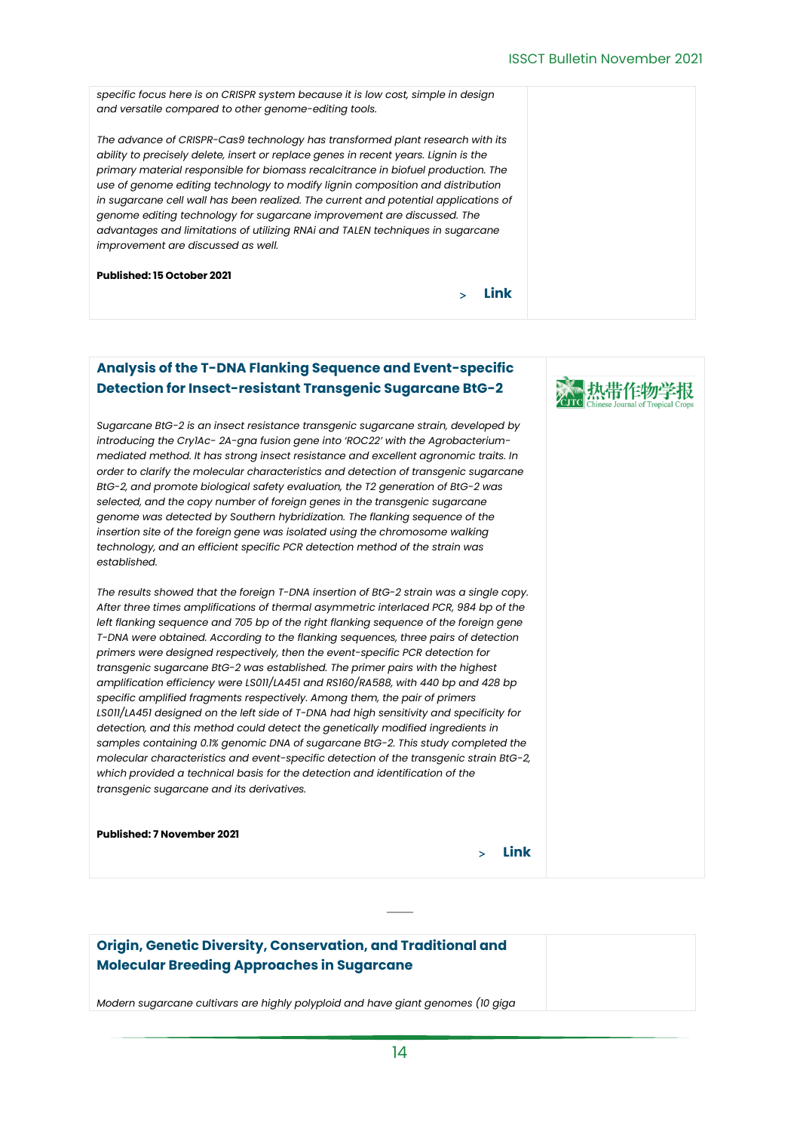》 热带作物学报

*specific focus here is on CRISPR system because it is low cost, simple in design and versatile compared to other genome-editing tools. The advance of CRISPR-Cas9 technology has transformed plant research with its ability to precisely delete, insert or replace genes in recent years. Lignin is the primary material responsible for biomass recalcitrance in biofuel production. The use of genome editing technology to modify lignin composition and distribution in sugarcane cell wall has been realized. The current and potential applications of genome editing technology for sugarcane improvement are discussed. The advantages and limitations of utilizing RNAi and TALEN techniques in sugarcane improvement are discussed as well.* **Published: 15 October 2021 [Link](https://link.springer.com/article/10.1007/s12355-021-01045-8)**

### <span id="page-13-0"></span>**Analysis of the T-DNA Flanking Sequence and Event-specific Detection for Insect-resistant Transgenic Sugarcane BtG-2**

*Sugarcane BtG-2 is an insect resistance transgenic sugarcane strain, developed by introducing the Cry1Ac- 2A-gna fusion gene into 'ROC22' with the Agrobacteriummediated method. It has strong insect resistance and excellent agronomic traits. In order to clarify the molecular characteristics and detection of transgenic sugarcane BtG-2, and promote biological safety evaluation, the T2 generation of BtG-2 was selected, and the copy number of foreign genes in the transgenic sugarcane genome was detected by Southern hybridization. The flanking sequence of the insertion site of the foreign gene was isolated using the chromosome walking technology, and an efficient specific PCR detection method of the strain was established.* 

*The results showed that the foreign T-DNA insertion of BtG-2 strain was a single copy. After three times amplifications of thermal asymmetric interlaced PCR, 984 bp of the left flanking sequence and 705 bp of the right flanking sequence of the foreign gene T-DNA were obtained. According to the flanking sequences, three pairs of detection primers were designed respectively, then the event-specific PCR detection for transgenic sugarcane BtG-2 was established. The primer pairs with the highest amplification efficiency were LS011/LA451 and RS160/RA588, with 440 bp and 428 bp specific amplified fragments respectively. Among them, the pair of primers LS011/LA451 designed on the left side of T-DNA had high sensitivity and specificity for detection, and this method could detect the genetically modified ingredients in samples containing 0.1% genomic DNA of sugarcane BtG-2. This study completed the molecular characteristics and event-specific detection of the transgenic strain BtG-2, which provided a technical basis for the detection and identification of the transgenic sugarcane and its derivatives.*

**Published: 7 November 2021**

**[Link](http://www.rdzwxb.com/EN/10.3969/j.issn.1000-2561.2021.09.005)**

### <span id="page-13-1"></span>**Origin, Genetic Diversity, Conservation, and Traditional and Molecular Breeding Approaches in Sugarcane**

*Modern sugarcane cultivars are highly polyploid and have giant genomes (10 giga*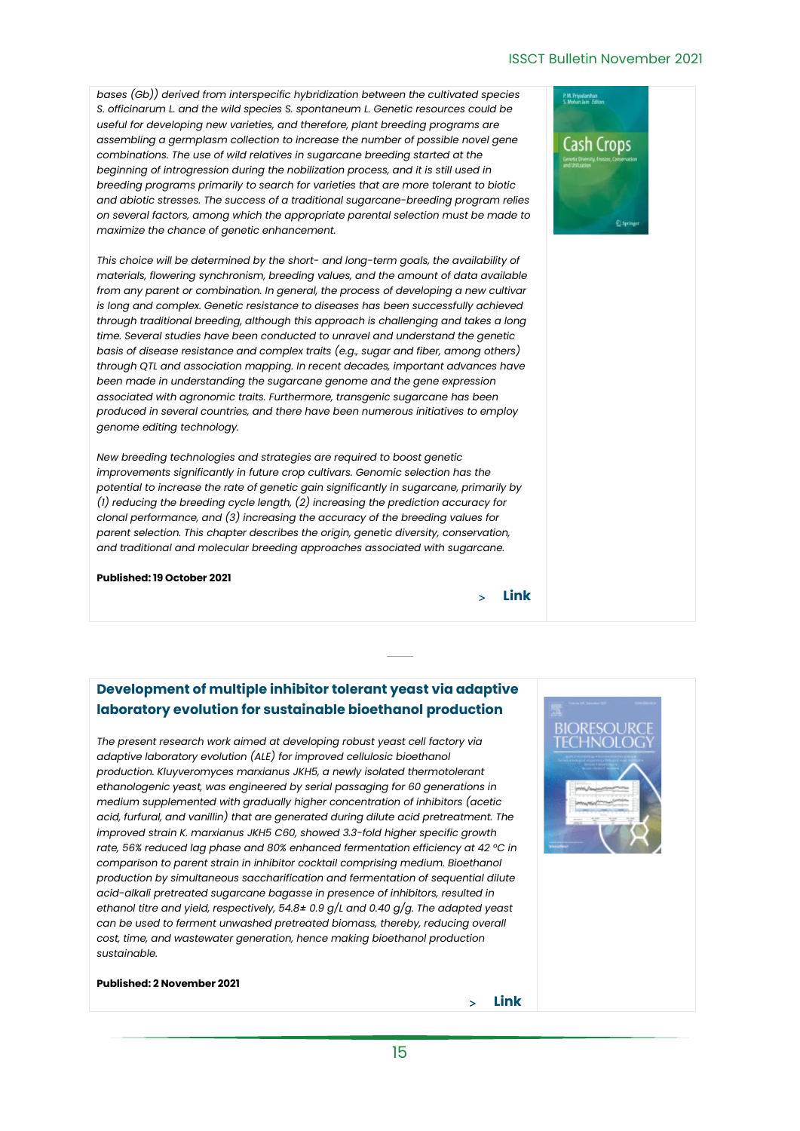#### ISSCT Bulletin November 2021

*bases (Gb)) derived from interspecific hybridization between the cultivated species S. officinarum L. and the wild species S. spontaneum L. Genetic resources could be useful for developing new varieties, and therefore, plant breeding programs are assembling a germplasm collection to increase the number of possible novel gene combinations. The use of wild relatives in sugarcane breeding started at the beginning of introgression during the nobilization process, and it is still used in breeding programs primarily to search for varieties that are more tolerant to biotic and abiotic stresses. The success of a traditional sugarcane-breeding program relies on several factors, among which the appropriate parental selection must be made to maximize the chance of genetic enhancement.*

*This choice will be determined by the short- and long-term goals, the availability of materials, flowering synchronism, breeding values, and the amount of data available from any parent or combination. In general, the process of developing a new cultivar is long and complex. Genetic resistance to diseases has been successfully achieved through traditional breeding, although this approach is challenging and takes a long time. Several studies have been conducted to unravel and understand the genetic basis of disease resistance and complex traits (e.g., sugar and fiber, among others) through QTL and association mapping. In recent decades, important advances have been made in understanding the sugarcane genome and the gene expression associated with agronomic traits. Furthermore, transgenic sugarcane has been produced in several countries, and there have been numerous initiatives to employ genome editing technology.* 

*New breeding technologies and strategies are required to boost genetic improvements significantly in future crop cultivars. Genomic selection has the potential to increase the rate of genetic gain significantly in sugarcane, primarily by (1) reducing the breeding cycle length, (2) increasing the prediction accuracy for clonal performance, and (3) increasing the accuracy of the breeding values for parent selection. This chapter describes the origin, genetic diversity, conservation, and traditional and molecular breeding approaches associated with sugarcane.*

**Published: 19 October 2021**

**[Link](https://link.springer.com/chapter/10.1007/978-3-030-74926-2_4)**

### <span id="page-14-0"></span>**Development of multiple inhibitor tolerant yeast via adaptive laboratory evolution for sustainable bioethanol production**

*The present research work aimed at developing robust yeast cell factory via adaptive laboratory evolution (ALE) for improved cellulosic bioethanol production. Kluyveromyces marxianus JKH5, a newly isolated thermotolerant ethanologenic yeast, was engineered by serial passaging for 60 generations in medium supplemented with gradually higher concentration of inhibitors (acetic acid, furfural, and vanillin) that are generated during dilute acid pretreatment. The improved strain K. marxianus JKH5 C60, showed 3.3-fold higher specific growth rate, 56% reduced lag phase and 80% enhanced fermentation efficiency at 42 °C in comparison to parent strain in inhibitor cocktail comprising medium. Bioethanol production by simultaneous saccharification and fermentation of sequential dilute acid-alkali pretreated sugarcane bagasse in presence of inhibitors, resulted in ethanol titre and yield, respectively, 54.8± 0.9 g/L and 0.40 g/g. The adapted yeast can be used to ferment unwashed pretreated biomass, thereby, reducing overall cost, time, and wastewater generation, hence making bioethanol production sustainable.*

#### **Published: 2 November 2021**



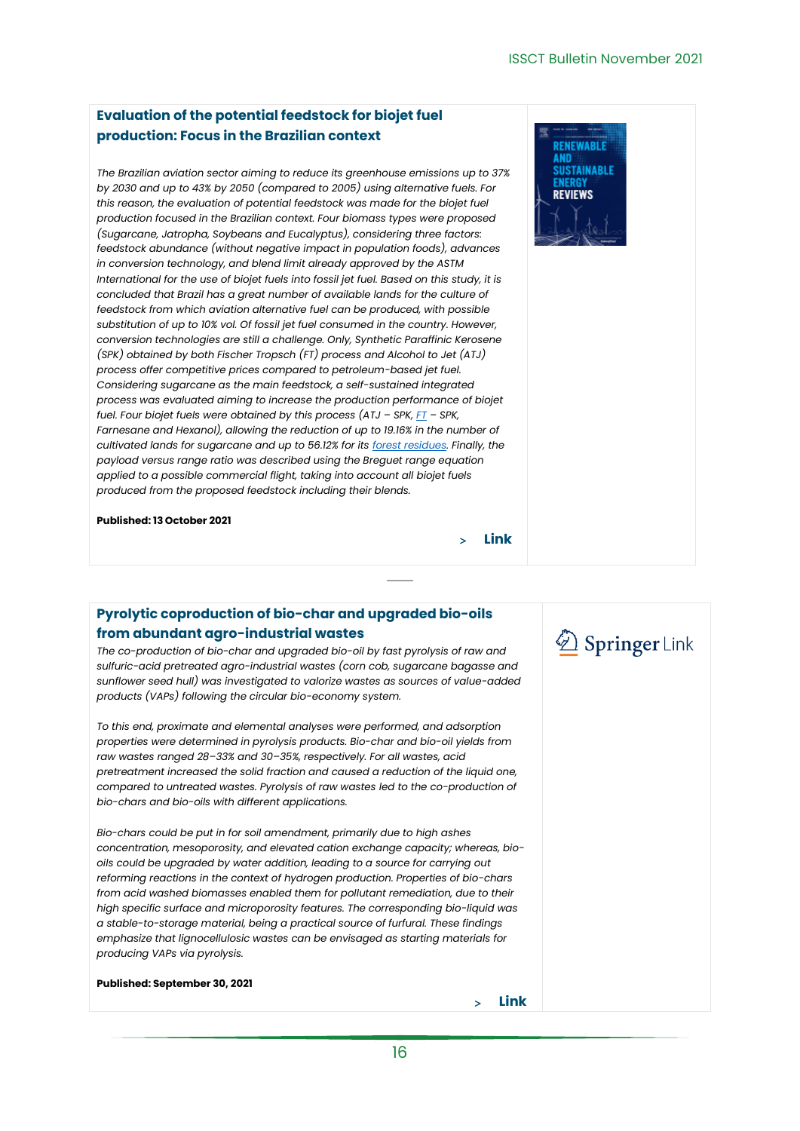**DENEWARI** 

#### <span id="page-15-0"></span>**Evaluation of the potential feedstock for biojet fuel production: Focus in the Brazilian context**

*The Brazilian aviation sector aiming to reduce its greenhouse emissions up to 37% by 2030 and up to 43% by 2050 (compared to 2005) using alternative fuels. For this reason, the evaluation of potential feedstock was made for the biojet fuel production focused in the Brazilian context. Four biomass types were proposed (Sugarcane, Jatropha, Soybeans and Eucalyptus), considering three factors: feedstock abundance (without negative impact in population foods), advances in conversion technology, and blend limit already approved by the ASTM International for the use of biojet fuels into fossil jet fuel. Based on this study, it is concluded that Brazil has a great number of available lands for the culture of feedstock from which aviation alternative fuel can be produced, with possible substitution of up to 10% vol. Of fossil jet fuel consumed in the country. However, conversion technologies are still a challenge. Only, Synthetic Paraffinic Kerosene (SPK) obtained by both Fischer Tropsch (FT) process and Alcohol to Jet (ATJ) process offer competitive prices compared to petroleum-based jet fuel. Considering sugarcane as the main feedstock, a self-sustained integrated process was evaluated aiming to increase the production performance of biojet fuel. Four biojet fuels were obtained by this process (ATJ – SPK, [FT](https://www.sciencedirect.com/topics/engineering/fischer-tropsch) – SPK, Farnesane and Hexanol), allowing the reduction of up to 19.16% in the number of cultivated lands for sugarcane and up to 56.12% for its [forest residues.](https://www.sciencedirect.com/topics/engineering/forest-residue) Finally, the payload versus range ratio was described using the Breguet range equation applied to a possible commercial flight, taking into account all biojet fuels produced from the proposed feedstock including their blends.*

**Published: 13 October 2021**

<span id="page-15-1"></span>**Pyrolytic coproduction of bio-char and upgraded bio-oils** 

#### **from abundant agro-industrial wastes**

*The co-production of bio-char and upgraded bio-oil by fast pyrolysis of raw and sulfuric-acid pretreated agro-industrial wastes (corn cob, sugarcane bagasse and sunflower seed hull) was investigated to valorize wastes as sources of value-added products (VAPs) following the circular bio-economy system.* 

*To this end, proximate and elemental analyses were performed, and adsorption properties were determined in pyrolysis products. Bio-char and bio-oil yields from raw wastes ranged 28–33% and 30–35%, respectively. For all wastes, acid pretreatment increased the solid fraction and caused a reduction of the liquid one, compared to untreated wastes. Pyrolysis of raw wastes led to the co-production of bio-chars and bio-oils with different applications.* 

*Bio-chars could be put in for soil amendment, primarily due to high ashes concentration, mesoporosity, and elevated cation exchange capacity; whereas, biooils could be upgraded by water addition, leading to a source for carrying out reforming reactions in the context of hydrogen production. Properties of bio-chars from acid washed biomasses enabled them for pollutant remediation, due to their high specific surface and microporosity features. The corresponding bio-liquid was a stable-to-storage material, being a practical source of furfural. These findings emphasize that lignocellulosic wastes can be envisaged as starting materials for producing VAPs via pyrolysis.*

**Published: September 30, 2021**



**[Link](https://www.sciencedirect.com/science/article/pii/S1364032121009904)**

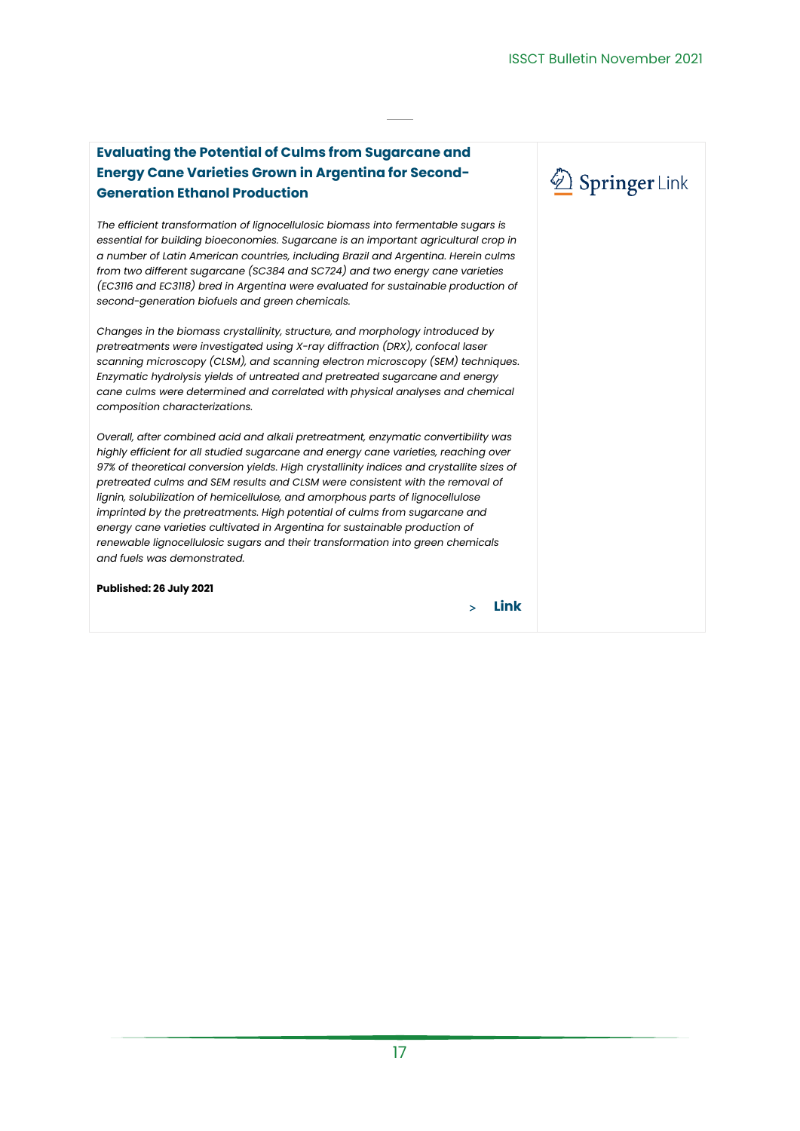Springer Link

### <span id="page-16-0"></span>**Evaluating the Potential of Culms from Sugarcane and Energy Cane Varieties Grown in Argentina for Second-Generation Ethanol Production**

*The efficient transformation of lignocellulosic biomass into fermentable sugars is essential for building bioeconomies. Sugarcane is an important agricultural crop in a number of Latin American countries, including Brazil and Argentina. Herein culms from two different sugarcane (SC384 and SC724) and two energy cane varieties (EC3116 and EC3118) bred in Argentina were evaluated for sustainable production of second-generation biofuels and green chemicals.* 

*Changes in the biomass crystallinity, structure, and morphology introduced by pretreatments were investigated using X-ray diffraction (DRX), confocal laser scanning microscopy (CLSM), and scanning electron microscopy (SEM) techniques. Enzymatic hydrolysis yields of untreated and pretreated sugarcane and energy cane culms were determined and correlated with physical analyses and chemical composition characterizations.* 

*Overall, after combined acid and alkali pretreatment, enzymatic convertibility was highly efficient for all studied sugarcane and energy cane varieties, reaching over 97% of theoretical conversion yields. High crystallinity indices and crystallite sizes of pretreated culms and SEM results and CLSM were consistent with the removal of lignin, solubilization of hemicellulose, and amorphous parts of lignocellulose imprinted by the pretreatments. High potential of culms from sugarcane and energy cane varieties cultivated in Argentina for sustainable production of renewable lignocellulosic sugars and their transformation into green chemicals and fuels was demonstrated.*

```
Published: 26 July 2021
```
**[Link](https://link.springer.com/article/10.1007/s12649-021-01528-5)**

17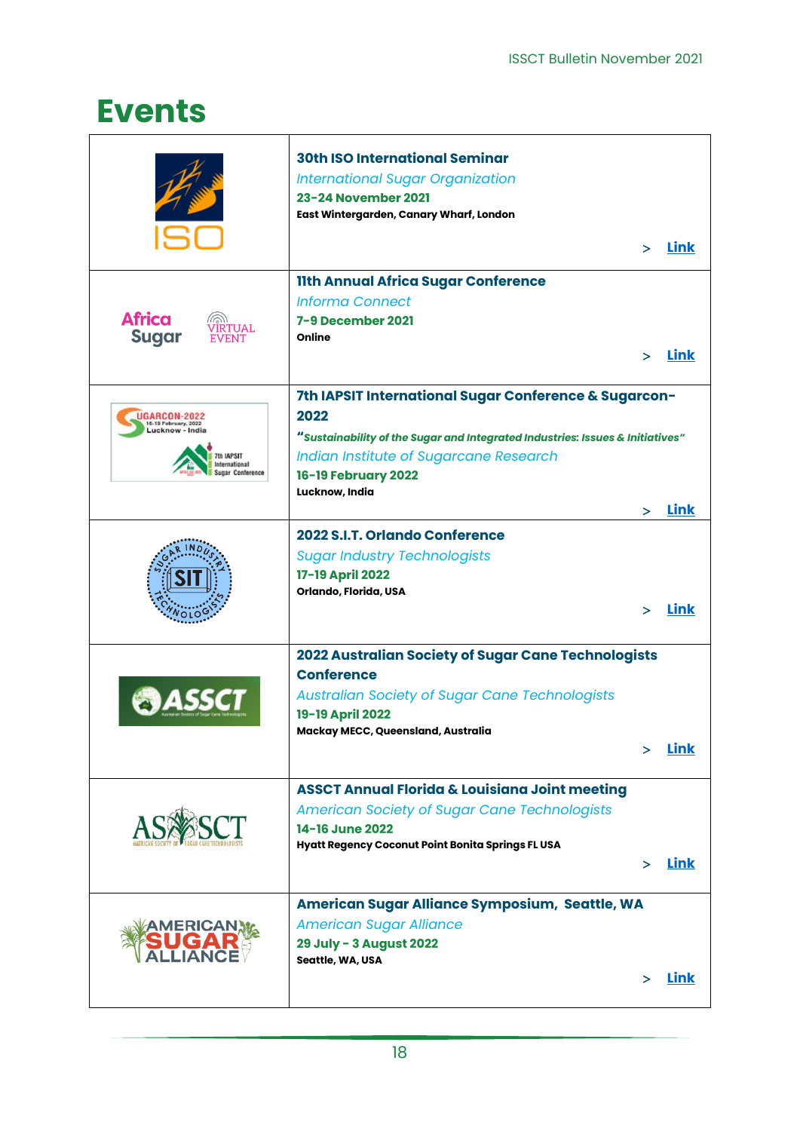## <span id="page-17-0"></span>**Events**

<span id="page-17-7"></span><span id="page-17-6"></span><span id="page-17-5"></span><span id="page-17-4"></span><span id="page-17-3"></span><span id="page-17-2"></span><span id="page-17-1"></span>

|                                                                                               | <b>30th ISO International Seminar</b><br><b>International Sugar Organization</b><br>23-24 November 2021<br>East Wintergarden, Canary Wharf, London                                                                                |   | > Link      |
|-----------------------------------------------------------------------------------------------|-----------------------------------------------------------------------------------------------------------------------------------------------------------------------------------------------------------------------------------|---|-------------|
| <b>Africa</b><br><b>Sugar</b>                                                                 | <b>11th Annual Africa Sugar Conference</b><br><b>Informa Connect</b><br>7-9 December 2021<br>Online                                                                                                                               |   | Link        |
| UGARCON-2022<br>6-19 February, 2022<br>.ucknow - India<br>mational<br><b>Jugar Conference</b> | 7th IAPSIT International Sugar Conference & Sugarcon-<br>2022<br>"Sustainability of the Sugar and Integrated Industries: Issues & Initiatives"<br>Indian Institute of Sugarcane Research<br>16-19 February 2022<br>Lucknow, India | ⋗ | Link        |
|                                                                                               | 2022 S.I.T. Orlando Conference<br><b>Sugar Industry Technologists</b><br>17-19 April 2022<br>Orlando, Florida, USA                                                                                                                | ↘ | <b>Link</b> |
|                                                                                               | 2022 Australian Society of Sugar Cane Technologists<br><b>Conference</b><br><b>Australian Society of Sugar Cane Technologists</b><br>19-19 April 2022<br>Mackay MECC, Queensland, Australia                                       |   | <b>Link</b> |
|                                                                                               | <b>ASSCT Annual Florida &amp; Louisiana Joint meeting</b><br><b>American Society of Sugar Cane Technologists</b><br>14-16 June 2022<br>Hyatt Regency Coconut Point Bonita Springs FL USA                                          |   | <b>Link</b> |
|                                                                                               | American Sugar Alliance Symposium, Seattle, WA<br><b>American Sugar Alliance</b><br>29 July - 3 August 2022<br>Seattle, WA, USA                                                                                                   |   | <b>Link</b> |